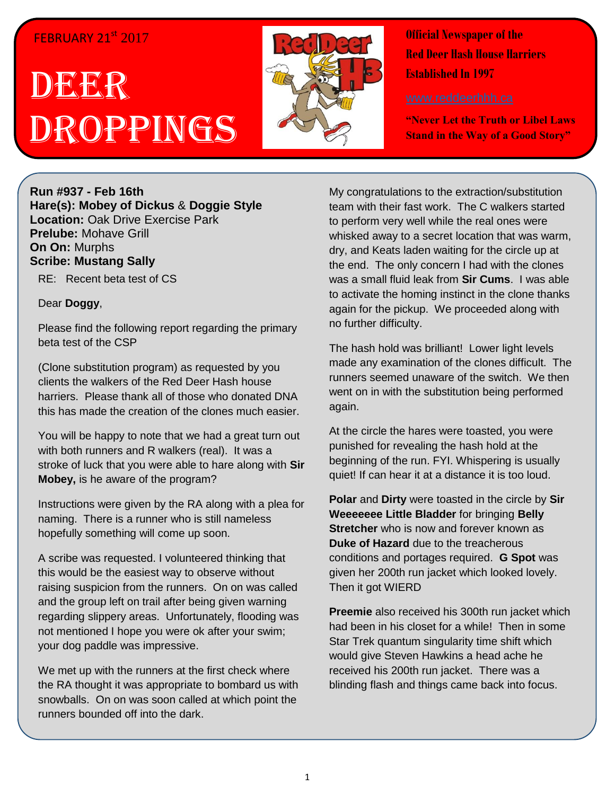## FEBRUARY 21st 2017

## DEER Droppings



**Official Newspaper of the Red Deer Hash House Harriers Established In 1997** 

**"Never Let the Truth or Libel Laws Stand in the Way of a Good Story"**

**Run #937 - Feb 16th Hare(s): Mobey of Dickus** & **Doggie Style Location:** Oak Drive Exercise Park **Prelube:** Mohave Grill **On On:** Murphs **Scribe: Mustang Sally**

RE: Recent beta test of CS

## Dear **Doggy**,

Please find the following report regarding the primary beta test of the CSP

(Clone substitution program) as requested by you clients the walkers of the Red Deer Hash house harriers. Please thank all of those who donated DNA this has made the creation of the clones much easier.

You will be happy to note that we had a great turn out with both runners and R walkers (real). It was a stroke of luck that you were able to hare along with **Sir Mobey,** is he aware of the program?

Instructions were given by the RA along with a plea for naming. There is a runner who is still nameless hopefully something will come up soon.

A scribe was requested. I volunteered thinking that this would be the easiest way to observe without raising suspicion from the runners. On on was called and the group left on trail after being given warning regarding slippery areas. Unfortunately, flooding was not mentioned I hope you were ok after your swim; your dog paddle was impressive.

We met up with the runners at the first check where the RA thought it was appropriate to bombard us with snowballs. On on was soon called at which point the runners bounded off into the dark.

My congratulations to the extraction/substitution team with their fast work. The C walkers started to perform very well while the real ones were whisked away to a secret location that was warm, dry, and Keats laden waiting for the circle up at the end. The only concern I had with the clones was a small fluid leak from **Sir Cums**. I was able to activate the homing instinct in the clone thanks again for the pickup. We proceeded along with no further difficulty.

The hash hold was brilliant! Lower light levels made any examination of the clones difficult. The runners seemed unaware of the switch. We then went on in with the substitution being performed again.

At the circle the hares were toasted, you were punished for revealing the hash hold at the beginning of the run. FYI. Whispering is usually quiet! If can hear it at a distance it is too loud.

**Polar** and **Dirty** were toasted in the circle by **Sir Weeeeeee Little Bladder** for bringing **Belly Stretcher** who is now and forever known as **Duke of Hazard** due to the treacherous conditions and portages required. **G Spot** was given her 200th run jacket which looked lovely. Then it got WIERD

**Preemie** also received his 300th run jacket which had been in his closet for a while! Then in some Star Trek quantum singularity time shift which would give Steven Hawkins a head ache he received his 200th run jacket. There was a blinding flash and things came back into focus.